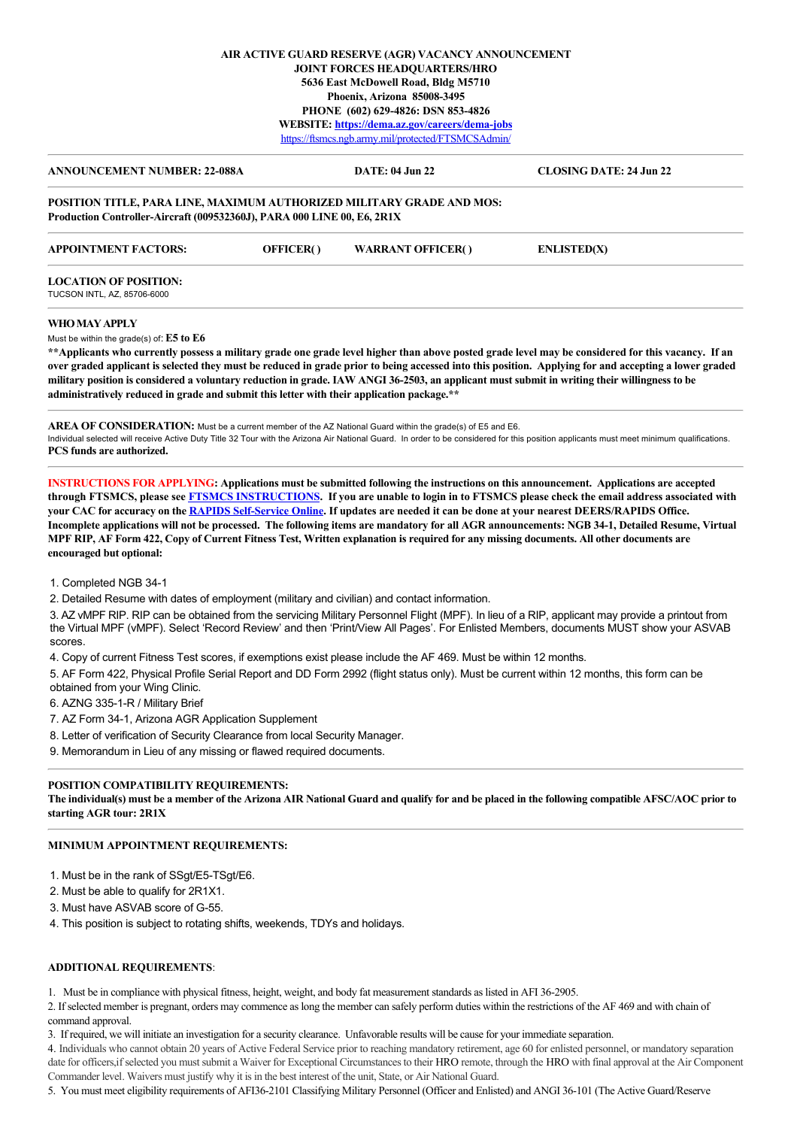## **AIR ACTIVE GUARD RESERVE (AGR) VACANCY ANNOUNCEMENT JOINT FORCES HEADQUARTERS/HRO 5636 East McDowell Road, Bldg M5710 Phoenix, Arizona 85008-3495 PHONE (602) 629-4826: DSN 853-4826 WEBSITE: <https://dema.az.gov/careers/dema-jobs>** <https://ftsmcs.ngb.army.mil/protected/FTSMCSAdmin/>

| <b>ANNOUNCEMENT NUMBER: 22-088A</b>                                                                                                              |           | DATE: 04 Jun 22          | <b>CLOSING DATE: 24 Jun 22</b>                                                                                                                     |
|--------------------------------------------------------------------------------------------------------------------------------------------------|-----------|--------------------------|----------------------------------------------------------------------------------------------------------------------------------------------------|
| POSITION TITLE, PARA LINE, MAXIMUM AUTHORIZED MILITARY GRADE AND MOS:<br>Production Controller-Aircraft (009532360J), PARA 000 LINE 00, E6, 2R1X |           |                          |                                                                                                                                                    |
| <b>APPOINTMENT FACTORS:</b>                                                                                                                      | OFFICER() | <b>WARRANT OFFICER()</b> | <b>ENLISTED(X)</b>                                                                                                                                 |
| <b>LOCATION OF POSITION:</b><br>TUCSON INTL, AZ, 85706-6000                                                                                      |           |                          |                                                                                                                                                    |
| WHO MAY APPLY                                                                                                                                    |           |                          |                                                                                                                                                    |
| Must be within the grade(s) of: $E5$ to $E6$                                                                                                     |           |                          |                                                                                                                                                    |
|                                                                                                                                                  |           |                          | **Applicants who currently possess a military grade one grade level higher than above posted grade level may be considered for this vacancy. If an |

**over graded applicant is selected they must be reduced in grade prior to being accessed into this position. Applying for and accepting a lower graded military position is considered a voluntary reduction in grade. IAW ANGI 36-2503, an applicant must submit in writing their willingness to be administratively reduced in grade and submit this letter with their application package.\*\***

**AREA OF CONSIDERATION:** Must be a current member of the AZ National Guard within the grade(s) of E5 and E6. Individual selected will receive Active Duty Title 32 Tour with the Arizona Air National Guard. In order to be considered for this position applicants must meet minimum qualifications. **PCS funds are authorized.**

**INSTRUCTIONS FOR APPLYING: Applications must be submitted following the instructions on this announcement. Applications are accepted through FTSMCS, please see [FTSMCS INSTRUCTIONS.](https://dema.az.gov/sites/default/files/HRO%20Important%20Documents/FTSMCS%20Application%20instructions.pdf) If you are unable to login in to FTSMCS please check the email address associated with your CAC for accuracy on the [RAPIDS Self-Service Online.](https://pki.dmdc.osd.mil/self_service/rapids/unauthenticated?execution=e1s1) If updates are needed it can be done at your nearest DEERS/RAPIDS Office. Incomplete applications will not be processed. The following items are mandatory for all AGR announcements: NGB 34-1, Detailed Resume, Virtual MPF RIP, AF Form 422, Copy of Current Fitness Test, Written explanation is required for any missing documents. All other documents are encouraged but optional:**

1. Completed NGB 34-1

2. Detailed Resume with dates of employment (military and civilian) and contact information.

3. AZ vMPF RIP. RIP can be obtained from the servicing Military Personnel Flight (MPF). In lieu of a RIP, applicant may provide a printout from the Virtual MPF (vMPF). Select 'Record Review' and then 'Print/View All Pages'. For Enlisted Members, documents MUST show your ASVAB scores.

4. Copy of current Fitness Test scores, if exemptions exist please include the AF 469. Must be within 12 months.

5. AF Form 422, Physical Profile Serial Report and DD Form 2992 (flight status only). Must be current within 12 months, this form can be obtained from your Wing Clinic.

6. AZNG 335-1-R / Military Brief

7. AZ Form 34-1, Arizona AGR Application Supplement

8. Letter of verification of Security Clearance from local Security Manager.

9. Memorandum in Lieu of any missing or flawed required documents.

# **POSITION COMPATIBILITY REQUIREMENTS:**

**The individual(s) must be a member of the Arizona AIR National Guard and qualify for and be placed in the following compatible AFSC/AOC prior to starting AGR tour: 2R1X**

# **MINIMUM APPOINTMENT REQUIREMENTS:**

1. Must be in the rank of SSgt/E5-TSgt/E6.

2. Must be able to qualify for 2R1X1.

3. Must have ASVAB score of G-55.

4. This position is subject to rotating shifts, weekends, TDYs and holidays.

### **ADDITIONAL REQUIREMENTS**:

1. Must be in compliance with physical fitness, height, weight, and body fat measurement standards as listed in AFI 36-2905.

2. If selected member is pregnant, orders may commence as long the member can safely perform duties within the restrictions of the AF 469 and with chain of command approval.

3. If required, we will initiate an investigation for a security clearance. Unfavorable results will be cause for your immediate separation.

4. Individuals who cannot obtain 20 years of Active Federal Service prior to reaching mandatory retirement, age 60 for enlisted personnel, or mandatory separation date for officers,if selected you must submit a Waiver for Exceptional Circumstances to their HRO remote, through the HRO with final approval at the Air Component Commander level. Waivers must justify why it is in the best interest of the unit, State, or Air National Guard.

5. You must meet eligibility requirements of AFI36-2101 Classifying Military Personnel (Officer and Enlisted) and ANGI 36-101 (The Active Guard/Reserve